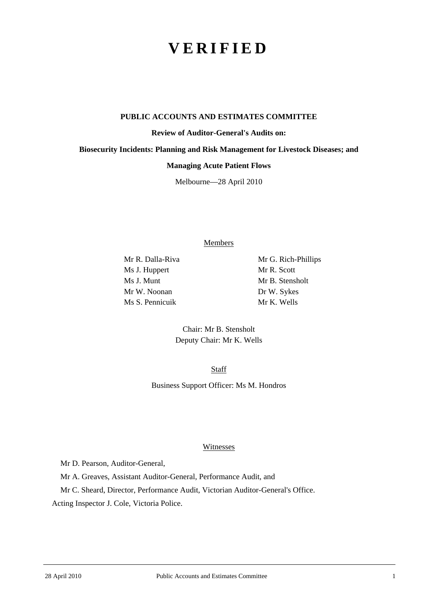# **VERIFIED**

#### **PUBLIC ACCOUNTS AND ESTIMATES COMMITTEE**

**Review of Auditor-General's Audits on:** 

**Biosecurity Incidents: Planning and Risk Management for Livestock Diseases; and** 

#### **Managing Acute Patient Flows**

Melbourne—28 April 2010

Members

Mr R. Dalla-Riva Mr G. Rich-Phillips Ms J. Huppert Mr R. Scott Ms J. Munt Mr B. Stensholt Mr W. Noonan Dr W. Sykes Ms S. Pennicuik Mr K. Wells

Chair: Mr B. Stensholt Deputy Chair: Mr K. Wells

Staff

Business Support Officer: Ms M. Hondros

#### Witnesses

Mr D. Pearson, Auditor-General,

Mr A. Greaves, Assistant Auditor-General, Performance Audit, and

Mr C. Sheard, Director, Performance Audit, Victorian Auditor-General's Office.

Acting Inspector J. Cole, Victoria Police.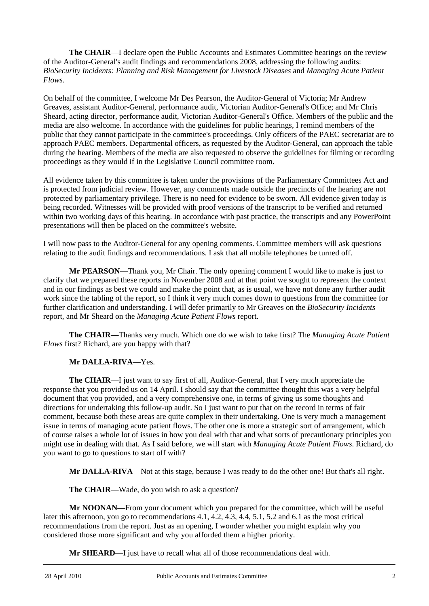**The CHAIR**—I declare open the Public Accounts and Estimates Committee hearings on the review of the Auditor-General's audit findings and recommendations 2008, addressing the following audits: *BioSecurity Incidents: Planning and Risk Management for Livestock Diseases* and *Managing Acute Patient Flows*.

On behalf of the committee, I welcome Mr Des Pearson, the Auditor-General of Victoria; Mr Andrew Greaves, assistant Auditor-General, performance audit, Victorian Auditor-General's Office; and Mr Chris Sheard, acting director, performance audit, Victorian Auditor-General's Office. Members of the public and the media are also welcome. In accordance with the guidelines for public hearings, I remind members of the public that they cannot participate in the committee's proceedings. Only officers of the PAEC secretariat are to approach PAEC members. Departmental officers, as requested by the Auditor-General, can approach the table during the hearing. Members of the media are also requested to observe the guidelines for filming or recording proceedings as they would if in the Legislative Council committee room.

All evidence taken by this committee is taken under the provisions of the Parliamentary Committees Act and is protected from judicial review. However, any comments made outside the precincts of the hearing are not protected by parliamentary privilege. There is no need for evidence to be sworn. All evidence given today is being recorded. Witnesses will be provided with proof versions of the transcript to be verified and returned within two working days of this hearing. In accordance with past practice, the transcripts and any PowerPoint presentations will then be placed on the committee's website.

I will now pass to the Auditor-General for any opening comments. Committee members will ask questions relating to the audit findings and recommendations. I ask that all mobile telephones be turned off.

**Mr PEARSON**—Thank you, Mr Chair. The only opening comment I would like to make is just to clarify that we prepared these reports in November 2008 and at that point we sought to represent the context and in our findings as best we could and make the point that, as is usual, we have not done any further audit work since the tabling of the report, so I think it very much comes down to questions from the committee for further clarification and understanding. I will defer primarily to Mr Greaves on the *BioSecurity Incidents* report, and Mr Sheard on the *Managing Acute Patient Flows* report.

**The CHAIR**—Thanks very much. Which one do we wish to take first? The *Managing Acute Patient Flows* first? Richard, are you happy with that?

## **Mr DALLA-RIVA**—Yes.

**The CHAIR**—I just want to say first of all, Auditor-General, that I very much appreciate the response that you provided us on 14 April. I should say that the committee thought this was a very helpful document that you provided, and a very comprehensive one, in terms of giving us some thoughts and directions for undertaking this follow-up audit. So I just want to put that on the record in terms of fair comment, because both these areas are quite complex in their undertaking. One is very much a management issue in terms of managing acute patient flows. The other one is more a strategic sort of arrangement, which of course raises a whole lot of issues in how you deal with that and what sorts of precautionary principles you might use in dealing with that. As I said before, we will start with *Managing Acute Patient Flows*. Richard, do you want to go to questions to start off with?

**Mr DALLA-RIVA**—Not at this stage, because I was ready to do the other one! But that's all right.

**The CHAIR**—Wade, do you wish to ask a question?

**Mr NOONAN**—From your document which you prepared for the committee, which will be useful later this afternoon, you go to recommendations 4.1, 4.2, 4.3, 4.4, 5.1, 5.2 and 6.1 as the most critical recommendations from the report. Just as an opening, I wonder whether you might explain why you considered those more significant and why you afforded them a higher priority.

**Mr SHEARD**—I just have to recall what all of those recommendations deal with.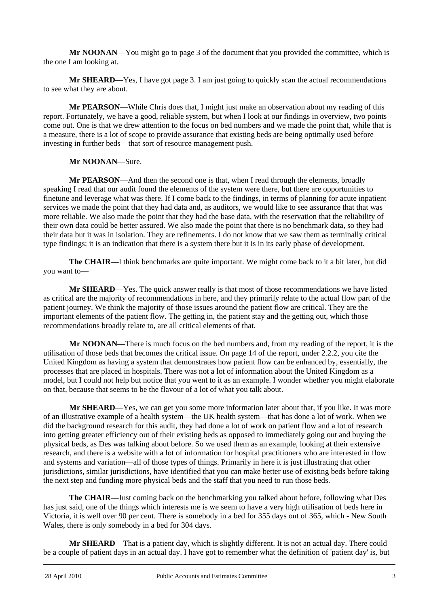**Mr NOONAN**—You might go to page 3 of the document that you provided the committee, which is the one I am looking at.

**Mr SHEARD**—Yes, I have got page 3. I am just going to quickly scan the actual recommendations to see what they are about.

**Mr PEARSON**—While Chris does that, I might just make an observation about my reading of this report. Fortunately, we have a good, reliable system, but when I look at our findings in overview, two points come out. One is that we drew attention to the focus on bed numbers and we made the point that, while that is a measure, there is a lot of scope to provide assurance that existing beds are being optimally used before investing in further beds—that sort of resource management push.

### **Mr NOONAN**—Sure.

**Mr PEARSON**—And then the second one is that, when I read through the elements, broadly speaking I read that our audit found the elements of the system were there, but there are opportunities to finetune and leverage what was there. If I come back to the findings, in terms of planning for acute inpatient services we made the point that they had data and, as auditors, we would like to see assurance that that was more reliable. We also made the point that they had the base data, with the reservation that the reliability of their own data could be better assured. We also made the point that there is no benchmark data, so they had their data but it was in isolation. They are refinements. I do not know that we saw them as terminally critical type findings; it is an indication that there is a system there but it is in its early phase of development.

**The CHAIR**—I think benchmarks are quite important. We might come back to it a bit later, but did you want to—

**Mr SHEARD**—Yes. The quick answer really is that most of those recommendations we have listed as critical are the majority of recommendations in here, and they primarily relate to the actual flow part of the patient journey. We think the majority of those issues around the patient flow are critical. They are the important elements of the patient flow. The getting in, the patient stay and the getting out, which those recommendations broadly relate to, are all critical elements of that.

**Mr NOONAN**—There is much focus on the bed numbers and, from my reading of the report, it is the utilisation of those beds that becomes the critical issue. On page 14 of the report, under 2.2.2, you cite the United Kingdom as having a system that demonstrates how patient flow can be enhanced by, essentially, the processes that are placed in hospitals. There was not a lot of information about the United Kingdom as a model, but I could not help but notice that you went to it as an example. I wonder whether you might elaborate on that, because that seems to be the flavour of a lot of what you talk about.

**Mr SHEARD**—Yes, we can get you some more information later about that, if you like. It was more of an illustrative example of a health system—the UK health system—that has done a lot of work. When we did the background research for this audit, they had done a lot of work on patient flow and a lot of research into getting greater efficiency out of their existing beds as opposed to immediately going out and buying the physical beds, as Des was talking about before. So we used them as an example, looking at their extensive research, and there is a website with a lot of information for hospital practitioners who are interested in flow and systems and variation—all of those types of things. Primarily in here it is just illustrating that other jurisdictions, similar jurisdictions, have identified that you can make better use of existing beds before taking the next step and funding more physical beds and the staff that you need to run those beds.

**The CHAIR**—Just coming back on the benchmarking you talked about before, following what Des has just said, one of the things which interests me is we seem to have a very high utilisation of beds here in Victoria, it is well over 90 per cent. There is somebody in a bed for 355 days out of 365, which - New South Wales, there is only somebody in a bed for 304 days.

l **Mr SHEARD**—That is a patient day, which is slightly different. It is not an actual day. There could be a couple of patient days in an actual day. I have got to remember what the definition of 'patient day' is, but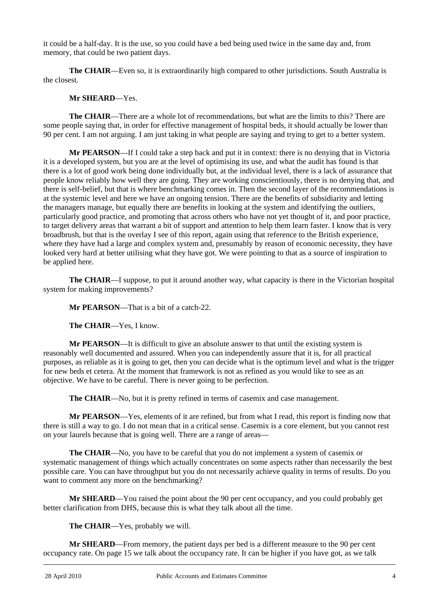it could be a half-day. It is the use, so you could have a bed being used twice in the same day and, from memory, that could be two patient days.

**The CHAIR**—Even so, it is extraordinarily high compared to other jurisdictions. South Australia is the closest.

## **Mr SHEARD**—Yes.

**The CHAIR**—There are a whole lot of recommendations, but what are the limits to this? There are some people saying that, in order for effective management of hospital beds, it should actually be lower than 90 per cent. I am not arguing. I am just taking in what people are saying and trying to get to a better system.

**Mr PEARSON**—If I could take a step back and put it in context: there is no denying that in Victoria it is a developed system, but you are at the level of optimising its use, and what the audit has found is that there is a lot of good work being done individually but, at the individual level, there is a lack of assurance that people know reliably how well they are going. They are working conscientiously, there is no denying that, and there is self-belief, but that is where benchmarking comes in. Then the second layer of the recommendations is at the systemic level and here we have an ongoing tension. There are the benefits of subsidiarity and letting the managers manage, but equally there are benefits in looking at the system and identifying the outliers, particularly good practice, and promoting that across others who have not yet thought of it, and poor practice, to target delivery areas that warrant a bit of support and attention to help them learn faster. I know that is very broadbrush, but that is the overlay I see of this report, again using that reference to the British experience, where they have had a large and complex system and, presumably by reason of economic necessity, they have looked very hard at better utilising what they have got. We were pointing to that as a source of inspiration to be applied here.

**The CHAIR**—I suppose, to put it around another way, what capacity is there in the Victorian hospital system for making improvements?

**Mr PEARSON**—That is a bit of a catch-22.

**The CHAIR**—Yes, I know.

**Mr PEARSON**—It is difficult to give an absolute answer to that until the existing system is reasonably well documented and assured. When you can independently assure that it is, for all practical purposes, as reliable as it is going to get, then you can decide what is the optimum level and what is the trigger for new beds et cetera. At the moment that framework is not as refined as you would like to see as an objective. We have to be careful. There is never going to be perfection.

**The CHAIR—No**, but it is pretty refined in terms of casemix and case management.

**Mr PEARSON**—Yes, elements of it are refined, but from what I read, this report is finding now that there is still a way to go. I do not mean that in a critical sense. Casemix is a core element, but you cannot rest on your laurels because that is going well. There are a range of areas—

**The CHAIR**—No, you have to be careful that you do not implement a system of casemix or systematic management of things which actually concentrates on some aspects rather than necessarily the best possible care. You can have throughput but you do not necessarily achieve quality in terms of results. Do you want to comment any more on the benchmarking?

**Mr SHEARD**—You raised the point about the 90 per cent occupancy, and you could probably get better clarification from DHS, because this is what they talk about all the time.

**The CHAIR**—Yes, probably we will.

l **Mr SHEARD**—From memory, the patient days per bed is a different measure to the 90 per cent occupancy rate. On page 15 we talk about the occupancy rate. It can be higher if you have got, as we talk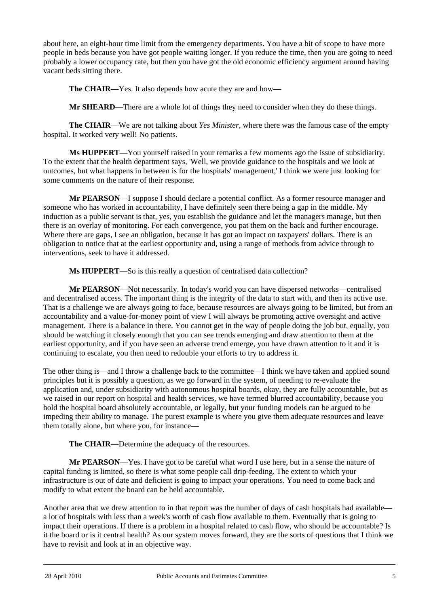about here, an eight-hour time limit from the emergency departments. You have a bit of scope to have more people in beds because you have got people waiting longer. If you reduce the time, then you are going to need probably a lower occupancy rate, but then you have got the old economic efficiency argument around having vacant beds sitting there.

**The CHAIR**—Yes. It also depends how acute they are and how—

**Mr SHEARD**—There are a whole lot of things they need to consider when they do these things.

**The CHAIR**—We are not talking about *Yes Minister*, where there was the famous case of the empty hospital. It worked very well! No patients.

**Ms HUPPERT**—You yourself raised in your remarks a few moments ago the issue of subsidiarity. To the extent that the health department says, 'Well, we provide guidance to the hospitals and we look at outcomes, but what happens in between is for the hospitals' management,' I think we were just looking for some comments on the nature of their response.

**Mr PEARSON**—I suppose I should declare a potential conflict. As a former resource manager and someone who has worked in accountability, I have definitely seen there being a gap in the middle. My induction as a public servant is that, yes, you establish the guidance and let the managers manage, but then there is an overlay of monitoring. For each convergence, you pat them on the back and further encourage. Where there are gaps, I see an obligation, because it has got an impact on taxpayers' dollars. There is an obligation to notice that at the earliest opportunity and, using a range of methods from advice through to interventions, seek to have it addressed.

**Ms HUPPERT**—So is this really a question of centralised data collection?

**Mr PEARSON**—Not necessarily. In today's world you can have dispersed networks—centralised and decentralised access. The important thing is the integrity of the data to start with, and then its active use. That is a challenge we are always going to face, because resources are always going to be limited, but from an accountability and a value-for-money point of view I will always be promoting active oversight and active management. There is a balance in there. You cannot get in the way of people doing the job but, equally, you should be watching it closely enough that you can see trends emerging and draw attention to them at the earliest opportunity, and if you have seen an adverse trend emerge, you have drawn attention to it and it is continuing to escalate, you then need to redouble your efforts to try to address it.

The other thing is—and I throw a challenge back to the committee—I think we have taken and applied sound principles but it is possibly a question, as we go forward in the system, of needing to re-evaluate the application and, under subsidiarity with autonomous hospital boards, okay, they are fully accountable, but as we raised in our report on hospital and health services, we have termed blurred accountability, because you hold the hospital board absolutely accountable, or legally, but your funding models can be argued to be impeding their ability to manage. The purest example is where you give them adequate resources and leave them totally alone, but where you, for instance—

**The CHAIR**—Determine the adequacy of the resources.

**Mr PEARSON**—Yes. I have got to be careful what word I use here, but in a sense the nature of capital funding is limited, so there is what some people call drip-feeding. The extent to which your infrastructure is out of date and deficient is going to impact your operations. You need to come back and modify to what extent the board can be held accountable.

Another area that we drew attention to in that report was the number of days of cash hospitals had available a lot of hospitals with less than a week's worth of cash flow available to them. Eventually that is going to impact their operations. If there is a problem in a hospital related to cash flow, who should be accountable? Is it the board or is it central health? As our system moves forward, they are the sorts of questions that I think we have to revisit and look at in an objective way.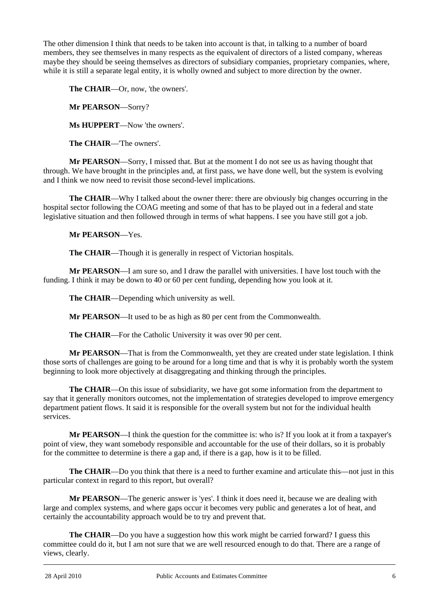The other dimension I think that needs to be taken into account is that, in talking to a number of board members, they see themselves in many respects as the equivalent of directors of a listed company, whereas maybe they should be seeing themselves as directors of subsidiary companies, proprietary companies, where, while it is still a separate legal entity, it is wholly owned and subject to more direction by the owner.

**The CHAIR**—Or, now, 'the owners'.

**Mr PEARSON**—Sorry?

**Ms HUPPERT**—Now 'the owners'.

**The CHAIR**—'The owners'.

**Mr PEARSON**—Sorry, I missed that. But at the moment I do not see us as having thought that through. We have brought in the principles and, at first pass, we have done well, but the system is evolving and I think we now need to revisit those second-level implications.

**The CHAIR**—Why I talked about the owner there: there are obviously big changes occurring in the hospital sector following the COAG meeting and some of that has to be played out in a federal and state legislative situation and then followed through in terms of what happens. I see you have still got a job.

**Mr PEARSON**—Yes.

**The CHAIR—Though it is generally in respect of Victorian hospitals.** 

**Mr PEARSON**—I am sure so, and I draw the parallel with universities. I have lost touch with the funding. I think it may be down to 40 or 60 per cent funding, depending how you look at it.

**The CHAIR**—Depending which university as well.

**Mr PEARSON**—It used to be as high as 80 per cent from the Commonwealth.

**The CHAIR**—For the Catholic University it was over 90 per cent.

**Mr PEARSON**—That is from the Commonwealth, yet they are created under state legislation. I think those sorts of challenges are going to be around for a long time and that is why it is probably worth the system beginning to look more objectively at disaggregating and thinking through the principles.

**The CHAIR**—On this issue of subsidiarity, we have got some information from the department to say that it generally monitors outcomes, not the implementation of strategies developed to improve emergency department patient flows. It said it is responsible for the overall system but not for the individual health services.

**Mr PEARSON**—I think the question for the committee is: who is? If you look at it from a taxpayer's point of view, they want somebody responsible and accountable for the use of their dollars, so it is probably for the committee to determine is there a gap and, if there is a gap, how is it to be filled.

**The CHAIR**—Do you think that there is a need to further examine and articulate this—not just in this particular context in regard to this report, but overall?

**Mr PEARSON**—The generic answer is 'yes'. I think it does need it, because we are dealing with large and complex systems, and where gaps occur it becomes very public and generates a lot of heat, and certainly the accountability approach would be to try and prevent that.

l **The CHAIR—Do** you have a suggestion how this work might be carried forward? I guess this committee could do it, but I am not sure that we are well resourced enough to do that. There are a range of views, clearly.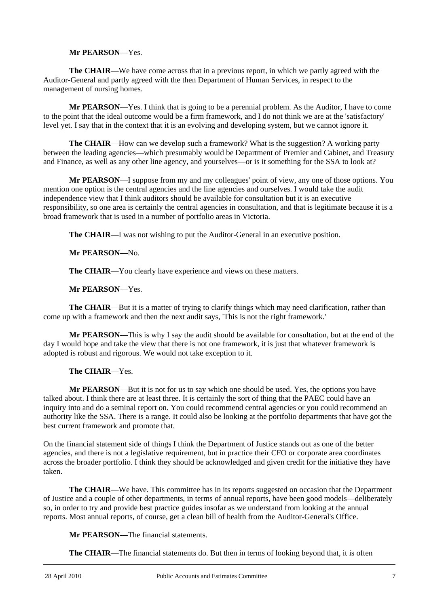#### **Mr PEARSON**—Yes.

**The CHAIR**—We have come across that in a previous report, in which we partly agreed with the Auditor-General and partly agreed with the then Department of Human Services, in respect to the management of nursing homes.

**Mr PEARSON**—Yes. I think that is going to be a perennial problem. As the Auditor, I have to come to the point that the ideal outcome would be a firm framework, and I do not think we are at the 'satisfactory' level yet. I say that in the context that it is an evolving and developing system, but we cannot ignore it.

**The CHAIR—How can we develop such a framework? What is the suggestion? A working party** between the leading agencies—which presumably would be Department of Premier and Cabinet, and Treasury and Finance, as well as any other line agency, and yourselves—or is it something for the SSA to look at?

**Mr PEARSON**—I suppose from my and my colleagues' point of view, any one of those options. You mention one option is the central agencies and the line agencies and ourselves. I would take the audit independence view that I think auditors should be available for consultation but it is an executive responsibility, so one area is certainly the central agencies in consultation, and that is legitimate because it is a broad framework that is used in a number of portfolio areas in Victoria.

**The CHAIR**—I was not wishing to put the Auditor-General in an executive position.

**Mr PEARSON**—No.

The CHAIR—You clearly have experience and views on these matters.

**Mr PEARSON**—Yes.

**The CHAIR**—But it is a matter of trying to clarify things which may need clarification, rather than come up with a framework and then the next audit says, 'This is not the right framework.'

**Mr PEARSON**—This is why I say the audit should be available for consultation, but at the end of the day I would hope and take the view that there is not one framework, it is just that whatever framework is adopted is robust and rigorous. We would not take exception to it.

**The CHAIR**—Yes.

**Mr PEARSON**—But it is not for us to say which one should be used. Yes, the options you have talked about. I think there are at least three. It is certainly the sort of thing that the PAEC could have an inquiry into and do a seminal report on. You could recommend central agencies or you could recommend an authority like the SSA. There is a range. It could also be looking at the portfolio departments that have got the best current framework and promote that.

On the financial statement side of things I think the Department of Justice stands out as one of the better agencies, and there is not a legislative requirement, but in practice their CFO or corporate area coordinates across the broader portfolio. I think they should be acknowledged and given credit for the initiative they have taken.

**The CHAIR**—We have. This committee has in its reports suggested on occasion that the Department of Justice and a couple of other departments, in terms of annual reports, have been good models—deliberately so, in order to try and provide best practice guides insofar as we understand from looking at the annual reports. Most annual reports, of course, get a clean bill of health from the Auditor-General's Office.

**Mr PEARSON**—The financial statements.

**The CHAIR**—The financial statements do. But then in terms of looking beyond that, it is often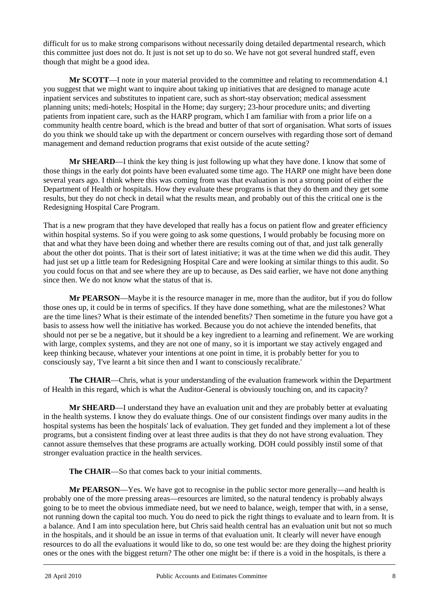difficult for us to make strong comparisons without necessarily doing detailed departmental research, which this committee just does not do. It just is not set up to do so. We have not got several hundred staff, even though that might be a good idea.

**Mr SCOTT**—I note in your material provided to the committee and relating to recommendation 4.1 you suggest that we might want to inquire about taking up initiatives that are designed to manage acute inpatient services and substitutes to inpatient care, such as short-stay observation; medical assessment planning units; medi-hotels; Hospital in the Home; day surgery; 23-hour procedure units; and diverting patients from inpatient care, such as the HARP program, which I am familiar with from a prior life on a community health centre board, which is the bread and butter of that sort of organisation. What sorts of issues do you think we should take up with the department or concern ourselves with regarding those sort of demand management and demand reduction programs that exist outside of the acute setting?

**Mr SHEARD**—I think the key thing is just following up what they have done. I know that some of those things in the early dot points have been evaluated some time ago. The HARP one might have been done several years ago. I think where this was coming from was that evaluation is not a strong point of either the Department of Health or hospitals. How they evaluate these programs is that they do them and they get some results, but they do not check in detail what the results mean, and probably out of this the critical one is the Redesigning Hospital Care Program.

That is a new program that they have developed that really has a focus on patient flow and greater efficiency within hospital systems. So if you were going to ask some questions, I would probably be focusing more on that and what they have been doing and whether there are results coming out of that, and just talk generally about the other dot points. That is their sort of latest initiative; it was at the time when we did this audit. They had just set up a little team for Redesigning Hospital Care and were looking at similar things to this audit. So you could focus on that and see where they are up to because, as Des said earlier, we have not done anything since then. We do not know what the status of that is.

**Mr PEARSON**—Maybe it is the resource manager in me, more than the auditor, but if you do follow those ones up, it could be in terms of specifics. If they have done something, what are the milestones? What are the time lines? What is their estimate of the intended benefits? Then sometime in the future you have got a basis to assess how well the initiative has worked. Because you do not achieve the intended benefits, that should not per se be a negative, but it should be a key ingredient to a learning and refinement. We are working with large, complex systems, and they are not one of many, so it is important we stay actively engaged and keep thinking because, whatever your intentions at one point in time, it is probably better for you to consciously say, 'I've learnt a bit since then and I want to consciously recalibrate.'

**The CHAIR**—Chris, what is your understanding of the evaluation framework within the Department of Health in this regard, which is what the Auditor-General is obviously touching on, and its capacity?

**Mr SHEARD**—I understand they have an evaluation unit and they are probably better at evaluating in the health systems. I know they do evaluate things. One of our consistent findings over many audits in the hospital systems has been the hospitals' lack of evaluation. They get funded and they implement a lot of these programs, but a consistent finding over at least three audits is that they do not have strong evaluation. They cannot assure themselves that these programs are actually working. DOH could possibly instil some of that stronger evaluation practice in the health services.

**The CHAIR**—So that comes back to your initial comments.

l **Mr PEARSON**—Yes. We have got to recognise in the public sector more generally—and health is probably one of the more pressing areas—resources are limited, so the natural tendency is probably always going to be to meet the obvious immediate need, but we need to balance, weigh, temper that with, in a sense, not running down the capital too much. You do need to pick the right things to evaluate and to learn from. It is a balance. And I am into speculation here, but Chris said health central has an evaluation unit but not so much in the hospitals, and it should be an issue in terms of that evaluation unit. It clearly will never have enough resources to do all the evaluations it would like to do, so one test would be: are they doing the highest priority ones or the ones with the biggest return? The other one might be: if there is a void in the hospitals, is there a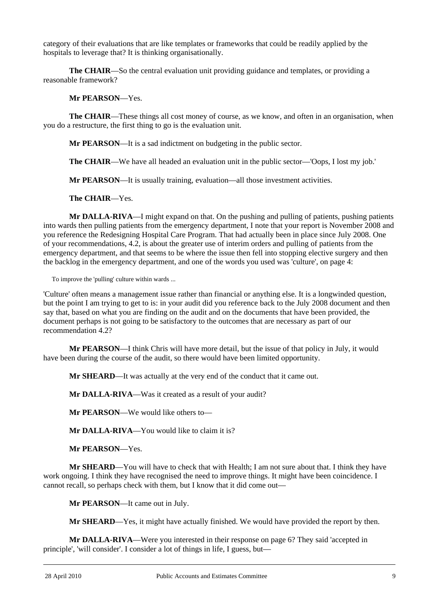category of their evaluations that are like templates or frameworks that could be readily applied by the hospitals to leverage that? It is thinking organisationally.

**The CHAIR**—So the central evaluation unit providing guidance and templates, or providing a reasonable framework?

#### **Mr PEARSON**—Yes.

**The CHAIR**—These things all cost money of course, as we know, and often in an organisation, when you do a restructure, the first thing to go is the evaluation unit.

**Mr PEARSON**—It is a sad indictment on budgeting in the public sector.

**The CHAIR**—We have all headed an evaluation unit in the public sector—'Oops, I lost my job.'

**Mr PEARSON**—It is usually training, evaluation—all those investment activities.

**The CHAIR**—Yes.

**Mr DALLA-RIVA**—I might expand on that. On the pushing and pulling of patients, pushing patients into wards then pulling patients from the emergency department, I note that your report is November 2008 and you reference the Redesigning Hospital Care Program. That had actually been in place since July 2008. One of your recommendations, 4.2, is about the greater use of interim orders and pulling of patients from the emergency department, and that seems to be where the issue then fell into stopping elective surgery and then the backlog in the emergency department, and one of the words you used was 'culture', on page 4:

To improve the 'pulling' culture within wards ...

'Culture' often means a management issue rather than financial or anything else. It is a longwinded question, but the point I am trying to get to is: in your audit did you reference back to the July 2008 document and then say that, based on what you are finding on the audit and on the documents that have been provided, the document perhaps is not going to be satisfactory to the outcomes that are necessary as part of our recommendation 4.2?

**Mr PEARSON**—I think Chris will have more detail, but the issue of that policy in July, it would have been during the course of the audit, so there would have been limited opportunity.

**Mr SHEARD**—It was actually at the very end of the conduct that it came out.

**Mr DALLA-RIVA**—Was it created as a result of your audit?

**Mr PEARSON**—We would like others to—

**Mr DALLA-RIVA**—You would like to claim it is?

**Mr PEARSON**—Yes.

**Mr SHEARD**—You will have to check that with Health; I am not sure about that. I think they have work ongoing. I think they have recognised the need to improve things. It might have been coincidence. I cannot recall, so perhaps check with them, but I know that it did come out—

**Mr PEARSON**—It came out in July.

**Mr SHEARD**—Yes, it might have actually finished. We would have provided the report by then.

**Mr DALLA-RIVA**—Were you interested in their response on page 6? They said 'accepted in principle', 'will consider'. I consider a lot of things in life, I guess, but—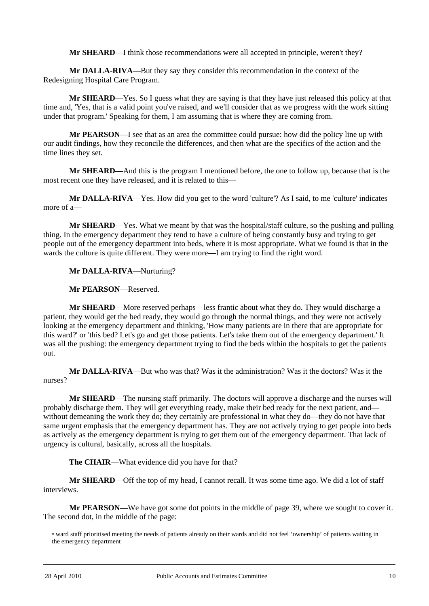**Mr SHEARD—I** think those recommendations were all accepted in principle, weren't they?

**Mr DALLA-RIVA**—But they say they consider this recommendation in the context of the Redesigning Hospital Care Program.

**Mr SHEARD**—Yes. So I guess what they are saying is that they have just released this policy at that time and, 'Yes, that is a valid point you've raised, and we'll consider that as we progress with the work sitting under that program.' Speaking for them, I am assuming that is where they are coming from.

**Mr PEARSON**—I see that as an area the committee could pursue: how did the policy line up with our audit findings, how they reconcile the differences, and then what are the specifics of the action and the time lines they set.

**Mr SHEARD**—And this is the program I mentioned before, the one to follow up, because that is the most recent one they have released, and it is related to this—

**Mr DALLA-RIVA**—Yes. How did you get to the word 'culture'? As I said, to me 'culture' indicates more of a—

**Mr SHEARD**—Yes. What we meant by that was the hospital/staff culture, so the pushing and pulling thing. In the emergency department they tend to have a culture of being constantly busy and trying to get people out of the emergency department into beds, where it is most appropriate. What we found is that in the wards the culture is quite different. They were more—I am trying to find the right word.

**Mr DALLA-RIVA**—Nurturing?

**Mr PEARSON**—Reserved.

**Mr SHEARD**—More reserved perhaps—less frantic about what they do. They would discharge a patient, they would get the bed ready, they would go through the normal things, and they were not actively looking at the emergency department and thinking, 'How many patients are in there that are appropriate for this ward?' or 'this bed? Let's go and get those patients. Let's take them out of the emergency department.' It was all the pushing: the emergency department trying to find the beds within the hospitals to get the patients out.

**Mr DALLA-RIVA**—But who was that? Was it the administration? Was it the doctors? Was it the nurses?

**Mr SHEARD**—The nursing staff primarily. The doctors will approve a discharge and the nurses will probably discharge them. They will get everything ready, make their bed ready for the next patient, and without demeaning the work they do; they certainly are professional in what they do—they do not have that same urgent emphasis that the emergency department has. They are not actively trying to get people into beds as actively as the emergency department is trying to get them out of the emergency department. That lack of urgency is cultural, basically, across all the hospitals.

**The CHAIR**—What evidence did you have for that?

**Mr SHEARD**—Off the top of my head, I cannot recall. It was some time ago. We did a lot of staff interviews.

**Mr PEARSON**—We have got some dot points in the middle of page 39, where we sought to cover it. The second dot, in the middle of the page:

<sup>•</sup> ward staff prioritised meeting the needs of patients already on their wards and did not feel 'ownership' of patients waiting in the emergency department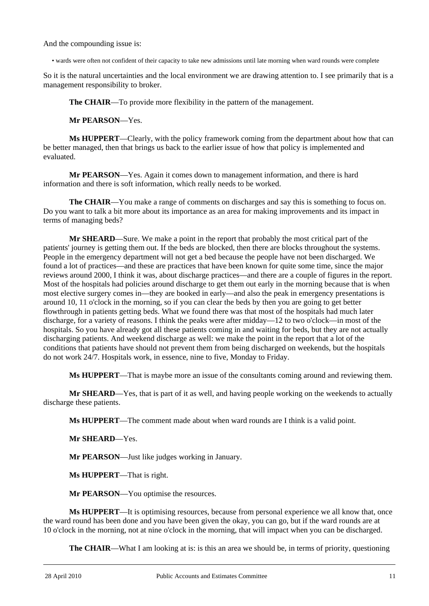And the compounding issue is:

• wards were often not confident of their capacity to take new admissions until late morning when ward rounds were complete

So it is the natural uncertainties and the local environment we are drawing attention to. I see primarily that is a management responsibility to broker.

**The CHAIR**—To provide more flexibility in the pattern of the management.

**Mr PEARSON**—Yes.

**Ms HUPPERT**—Clearly, with the policy framework coming from the department about how that can be better managed, then that brings us back to the earlier issue of how that policy is implemented and evaluated.

**Mr PEARSON**—Yes. Again it comes down to management information, and there is hard information and there is soft information, which really needs to be worked.

**The CHAIR**—You make a range of comments on discharges and say this is something to focus on. Do you want to talk a bit more about its importance as an area for making improvements and its impact in terms of managing beds?

**Mr SHEARD**—Sure. We make a point in the report that probably the most critical part of the patients' journey is getting them out. If the beds are blocked, then there are blocks throughout the systems. People in the emergency department will not get a bed because the people have not been discharged. We found a lot of practices—and these are practices that have been known for quite some time, since the major reviews around 2000, I think it was, about discharge practices—and there are a couple of figures in the report. Most of the hospitals had policies around discharge to get them out early in the morning because that is when most elective surgery comes in—they are booked in early—and also the peak in emergency presentations is around 10, 11 o'clock in the morning, so if you can clear the beds by then you are going to get better flowthrough in patients getting beds. What we found there was that most of the hospitals had much later discharge, for a variety of reasons. I think the peaks were after midday—12 to two o'clock—in most of the hospitals. So you have already got all these patients coming in and waiting for beds, but they are not actually discharging patients. And weekend discharge as well: we make the point in the report that a lot of the conditions that patients have should not prevent them from being discharged on weekends, but the hospitals do not work 24/7. Hospitals work, in essence, nine to five, Monday to Friday.

**Ms HUPPERT**—That is maybe more an issue of the consultants coming around and reviewing them.

**Mr SHEARD**—Yes, that is part of it as well, and having people working on the weekends to actually discharge these patients.

**Ms HUPPERT**—The comment made about when ward rounds are I think is a valid point.

**Mr SHEARD**—Yes.

**Mr PEARSON**—Just like judges working in January.

**Ms HUPPERT**—That is right.

**Mr PEARSON**—You optimise the resources.

**Ms HUPPERT**—It is optimising resources, because from personal experience we all know that, once the ward round has been done and you have been given the okay, you can go, but if the ward rounds are at 10 o'clock in the morning, not at nine o'clock in the morning, that will impact when you can be discharged.

**The CHAIR—What I am looking at is: is this an area we should be, in terms of priority, questioning**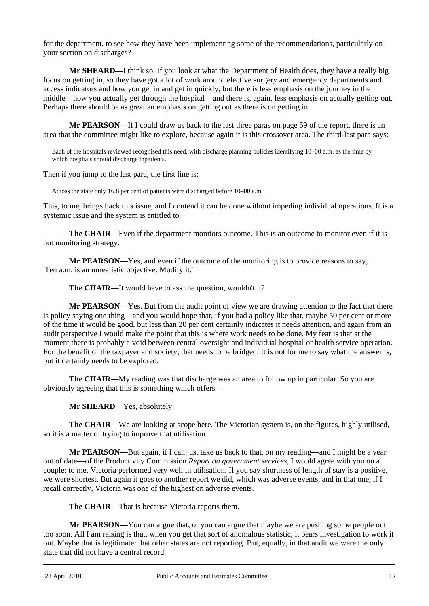for the department, to see how they have been implementing some of the recommendations, particularly on your section on discharges?

**Mr SHEARD**—I think so. If you look at what the Department of Health does, they have a really big focus on getting in, so they have got a lot of work around elective surgery and emergency departments and access indicators and how you get in and get in quickly, but there is less emphasis on the journey in the middle—how you actually get through the hospital—and there is, again, less emphasis on actually getting out. Perhaps there should be as great an emphasis on getting out as there is on getting in.

**Mr PEARSON**—If I could draw us back to the last three paras on page 59 of the report, there is an area that the committee might like to explore, because again it is this crossover area. The third-last para says:

Each of the hospitals reviewed recognised this need, with discharge planning policies identifying 10–00 a.m. as the time by which hospitals should discharge inpatients.

Then if you jump to the last para, the first line is:

Across the state only 16.8 per cent of patients were discharged before 10–00 a.m.

This, to me, brings back this issue, and I contend it can be done without impeding individual operations. It is a systemic issue and the system is entitled to—

**The CHAIR**—Even if the department monitors outcome. This is an outcome to monitor even if it is not monitoring strategy.

**Mr PEARSON**—Yes, and even if the outcome of the monitoring is to provide reasons to say, 'Ten a.m. is an unrealistic objective. Modify it.'

**The CHAIR—It** would have to ask the question, wouldn't it?

**Mr PEARSON**—Yes. But from the audit point of view we are drawing attention to the fact that there is policy saying one thing—and you would hope that, if you had a policy like that, maybe 50 per cent or more of the time it would be good, but less than 20 per cent certainly indicates it needs attention, and again from an audit perspective I would make the point that this is where work needs to be done. My fear is that at the moment there is probably a void between central oversight and individual hospital or health service operation. For the benefit of the taxpayer and society, that needs to be bridged. It is not for me to say what the answer is, but it certainly needs to be explored.

**The CHAIR**—My reading was that discharge was an area to follow up in particular. So you are obviously agreeing that this is something which offers—

**Mr SHEARD**—Yes, absolutely.

**The CHAIR**—We are looking at scope here. The Victorian system is, on the figures, highly utilised, so it is a matter of trying to improve that utilisation.

**Mr PEARSON**—But again, if I can just take us back to that, on my reading—and I might be a year out of date—of the Productivity Commission *Report on government services*, I would agree with you on a couple: to me, Victoria performed very well in utilisation. If you say shortness of length of stay is a positive, we were shortest. But again it goes to another report we did, which was adverse events, and in that one, if I recall correctly, Victoria was one of the highest on adverse events.

**The CHAIR**—That is because Victoria reports them.

**Mr PEARSON**—You can argue that, or you can argue that maybe we are pushing some people out too soon. All I am raising is that, when you get that sort of anomalous statistic, it bears investigation to work it out. Maybe that is legitimate: that other states are not reporting. But, equally, in that audit we were the only state that did not have a central record.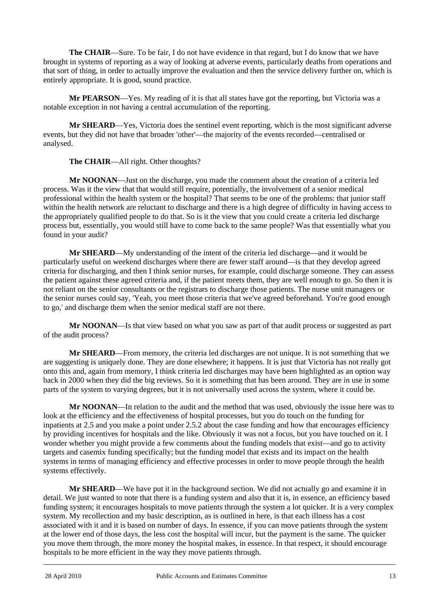**The CHAIR**—Sure. To be fair, I do not have evidence in that regard, but I do know that we have brought in systems of reporting as a way of looking at adverse events, particularly deaths from operations and that sort of thing, in order to actually improve the evaluation and then the service delivery further on, which is entirely appropriate. It is good, sound practice.

**Mr PEARSON**—Yes. My reading of it is that all states have got the reporting, but Victoria was a notable exception in not having a central accumulation of the reporting.

**Mr SHEARD**—Yes, Victoria does the sentinel event reporting, which is the most significant adverse events, but they did not have that broader 'other'—the majority of the events recorded—centralised or analysed.

### **The CHAIR**—All right. Other thoughts?

**Mr NOONAN**—Just on the discharge, you made the comment about the creation of a criteria led process. Was it the view that that would still require, potentially, the involvement of a senior medical professional within the health system or the hospital? That seems to be one of the problems: that junior staff within the health network are reluctant to discharge and there is a high degree of difficulty in having access to the appropriately qualified people to do that. So is it the view that you could create a criteria led discharge process but, essentially, you would still have to come back to the same people? Was that essentially what you found in your audit?

**Mr SHEARD**—My understanding of the intent of the criteria led discharge—and it would be particularly useful on weekend discharges where there are fewer staff around—is that they develop agreed criteria for discharging, and then I think senior nurses, for example, could discharge someone. They can assess the patient against these agreed criteria and, if the patient meets them, they are well enough to go. So then it is not reliant on the senior consultants or the registrars to discharge those patients. The nurse unit managers or the senior nurses could say, 'Yeah, you meet those criteria that we've agreed beforehand. You're good enough to go,' and discharge them when the senior medical staff are not there.

**Mr NOONAN**—Is that view based on what you saw as part of that audit process or suggested as part of the audit process?

**Mr SHEARD**—From memory, the criteria led discharges are not unique. It is not something that we are suggesting is uniquely done. They are done elsewhere; it happens. It is just that Victoria has not really got onto this and, again from memory, I think criteria led discharges may have been highlighted as an option way back in 2000 when they did the big reviews. So it is something that has been around. They are in use in some parts of the system to varying degrees, but it is not universally used across the system, where it could be.

**Mr NOONAN**—In relation to the audit and the method that was used, obviously the issue here was to look at the efficiency and the effectiveness of hospital processes, but you do touch on the funding for inpatients at 2.5 and you make a point under 2.5.2 about the case funding and how that encourages efficiency by providing incentives for hospitals and the like. Obviously it was not a focus, but you have touched on it. I wonder whether you might provide a few comments about the funding models that exist—and go to activity targets and casemix funding specifically; but the funding model that exists and its impact on the health systems in terms of managing efficiency and effective processes in order to move people through the health systems effectively.

l **Mr SHEARD**—We have put it in the background section. We did not actually go and examine it in detail. We just wanted to note that there is a funding system and also that it is, in essence, an efficiency based funding system; it encourages hospitals to move patients through the system a lot quicker. It is a very complex system. My recollection and my basic description, as is outlined in here, is that each illness has a cost associated with it and it is based on number of days. In essence, if you can move patients through the system at the lower end of those days, the less cost the hospital will incur, but the payment is the same. The quicker you move them through, the more money the hospital makes, in essence. In that respect, it should encourage hospitals to be more efficient in the way they move patients through.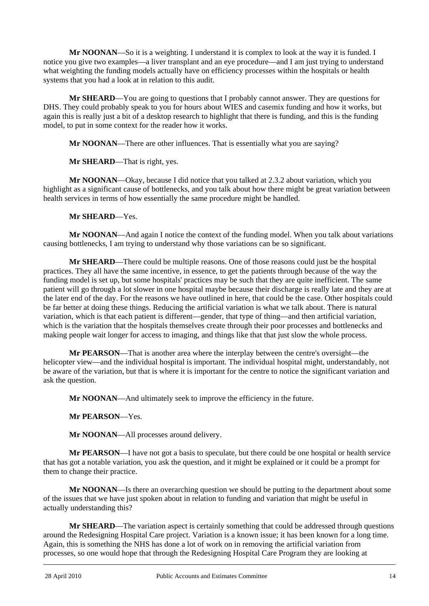**Mr NOONAN**—So it is a weighting. I understand it is complex to look at the way it is funded. I notice you give two examples—a liver transplant and an eye procedure—and I am just trying to understand what weighting the funding models actually have on efficiency processes within the hospitals or health systems that you had a look at in relation to this audit.

**Mr SHEARD**—You are going to questions that I probably cannot answer. They are questions for DHS. They could probably speak to you for hours about WIES and casemix funding and how it works, but again this is really just a bit of a desktop research to highlight that there is funding, and this is the funding model, to put in some context for the reader how it works.

**Mr NOONAN**—There are other influences. That is essentially what you are saying?

**Mr SHEARD**—That is right, yes.

**Mr NOONAN**—Okay, because I did notice that you talked at 2.3.2 about variation, which you highlight as a significant cause of bottlenecks, and you talk about how there might be great variation between health services in terms of how essentially the same procedure might be handled.

**Mr SHEARD**—Yes.

**Mr NOONAN**—And again I notice the context of the funding model. When you talk about variations causing bottlenecks, I am trying to understand why those variations can be so significant.

**Mr SHEARD**—There could be multiple reasons. One of those reasons could just be the hospital practices. They all have the same incentive, in essence, to get the patients through because of the way the funding model is set up, but some hospitals' practices may be such that they are quite inefficient. The same patient will go through a lot slower in one hospital maybe because their discharge is really late and they are at the later end of the day. For the reasons we have outlined in here, that could be the case. Other hospitals could be far better at doing these things. Reducing the artificial variation is what we talk about. There is natural variation, which is that each patient is different—gender, that type of thing—and then artificial variation, which is the variation that the hospitals themselves create through their poor processes and bottlenecks and making people wait longer for access to imaging, and things like that that just slow the whole process.

**Mr PEARSON**—That is another area where the interplay between the centre's oversight—the helicopter view—and the individual hospital is important. The individual hospital might, understandably, not be aware of the variation, but that is where it is important for the centre to notice the significant variation and ask the question.

**Mr NOONAN**—And ultimately seek to improve the efficiency in the future.

**Mr PEARSON**—Yes.

**Mr NOONAN**—All processes around delivery.

**Mr PEARSON**—I have not got a basis to speculate, but there could be one hospital or health service that has got a notable variation, you ask the question, and it might be explained or it could be a prompt for them to change their practice.

**Mr NOONAN**—Is there an overarching question we should be putting to the department about some of the issues that we have just spoken about in relation to funding and variation that might be useful in actually understanding this?

Î **Mr SHEARD**—The variation aspect is certainly something that could be addressed through questions around the Redesigning Hospital Care project. Variation is a known issue; it has been known for a long time. Again, this is something the NHS has done a lot of work on in removing the artificial variation from processes, so one would hope that through the Redesigning Hospital Care Program they are looking at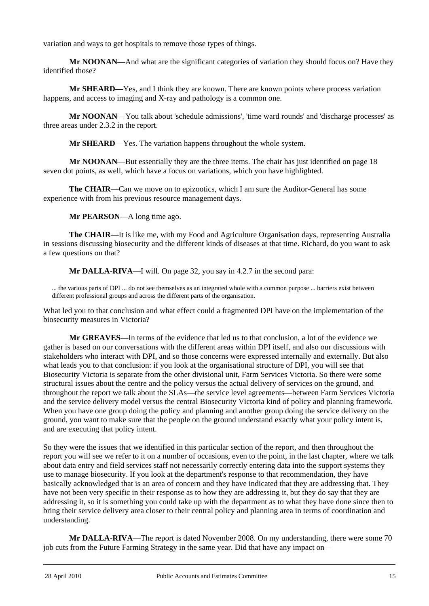variation and ways to get hospitals to remove those types of things.

**Mr NOONAN**—And what are the significant categories of variation they should focus on? Have they identified those?

**Mr SHEARD**—Yes, and I think they are known. There are known points where process variation happens, and access to imaging and X-ray and pathology is a common one.

**Mr NOONAN**—You talk about 'schedule admissions', 'time ward rounds' and 'discharge processes' as three areas under 2.3.2 in the report.

**Mr SHEARD**—Yes. The variation happens throughout the whole system.

**Mr NOONAN**—But essentially they are the three items. The chair has just identified on page 18 seven dot points, as well, which have a focus on variations, which you have highlighted.

**The CHAIR**—Can we move on to epizootics, which I am sure the Auditor-General has some experience with from his previous resource management days.

**Mr PEARSON**—A long time ago.

**The CHAIR**—It is like me, with my Food and Agriculture Organisation days, representing Australia in sessions discussing biosecurity and the different kinds of diseases at that time. Richard, do you want to ask a few questions on that?

**Mr DALLA-RIVA**—I will. On page 32, you say in 4.2.7 in the second para:

... the various parts of DPI ... do not see themselves as an integrated whole with a common purpose ... barriers exist between different professional groups and across the different parts of the organisation.

What led you to that conclusion and what effect could a fragmented DPI have on the implementation of the biosecurity measures in Victoria?

**Mr GREAVES**—In terms of the evidence that led us to that conclusion, a lot of the evidence we gather is based on our conversations with the different areas within DPI itself, and also our discussions with stakeholders who interact with DPI, and so those concerns were expressed internally and externally. But also what leads you to that conclusion: if you look at the organisational structure of DPI, you will see that Biosecurity Victoria is separate from the other divisional unit, Farm Services Victoria. So there were some structural issues about the centre and the policy versus the actual delivery of services on the ground, and throughout the report we talk about the SLAs—the service level agreements—between Farm Services Victoria and the service delivery model versus the central Biosecurity Victoria kind of policy and planning framework. When you have one group doing the policy and planning and another group doing the service delivery on the ground, you want to make sure that the people on the ground understand exactly what your policy intent is, and are executing that policy intent.

So they were the issues that we identified in this particular section of the report, and then throughout the report you will see we refer to it on a number of occasions, even to the point, in the last chapter, where we talk about data entry and field services staff not necessarily correctly entering data into the support systems they use to manage biosecurity. If you look at the department's response to that recommendation, they have basically acknowledged that is an area of concern and they have indicated that they are addressing that. They have not been very specific in their response as to how they are addressing it, but they do say that they are addressing it, so it is something you could take up with the department as to what they have done since then to bring their service delivery area closer to their central policy and planning area in terms of coordination and understanding.

**Mr DALLA-RIVA**—The report is dated November 2008. On my understanding, there were some 70 job cuts from the Future Farming Strategy in the same year. Did that have any impact on—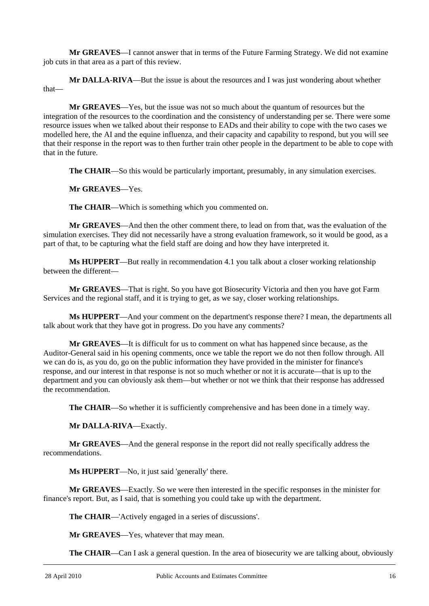**Mr GREAVES**—I cannot answer that in terms of the Future Farming Strategy. We did not examine job cuts in that area as a part of this review.

**Mr DALLA-RIVA**—But the issue is about the resources and I was just wondering about whether that—

**Mr GREAVES**—Yes, but the issue was not so much about the quantum of resources but the integration of the resources to the coordination and the consistency of understanding per se. There were some resource issues when we talked about their response to EADs and their ability to cope with the two cases we modelled here, the AI and the equine influenza, and their capacity and capability to respond, but you will see that their response in the report was to then further train other people in the department to be able to cope with that in the future.

**The CHAIR—So this would be particularly important, presumably, in any simulation exercises.** 

**Mr GREAVES**—Yes.

**The CHAIR**—Which is something which you commented on.

**Mr GREAVES**—And then the other comment there, to lead on from that, was the evaluation of the simulation exercises. They did not necessarily have a strong evaluation framework, so it would be good, as a part of that, to be capturing what the field staff are doing and how they have interpreted it.

**Ms HUPPERT**—But really in recommendation 4.1 you talk about a closer working relationship between the different—

**Mr GREAVES**—That is right. So you have got Biosecurity Victoria and then you have got Farm Services and the regional staff, and it is trying to get, as we say, closer working relationships.

**Ms HUPPERT**—And your comment on the department's response there? I mean, the departments all talk about work that they have got in progress. Do you have any comments?

**Mr GREAVES**—It is difficult for us to comment on what has happened since because, as the Auditor-General said in his opening comments, once we table the report we do not then follow through. All we can do is, as you do, go on the public information they have provided in the minister for finance's response, and our interest in that response is not so much whether or not it is accurate—that is up to the department and you can obviously ask them—but whether or not we think that their response has addressed the recommendation.

**The CHAIR**—So whether it is sufficiently comprehensive and has been done in a timely way.

**Mr DALLA-RIVA**—Exactly.

**Mr GREAVES**—And the general response in the report did not really specifically address the recommendations.

**Ms HUPPERT**—No, it just said 'generally' there.

**Mr GREAVES**—Exactly. So we were then interested in the specific responses in the minister for finance's report. But, as I said, that is something you could take up with the department.

**The CHAIR**—'Actively engaged in a series of discussions'.

**Mr GREAVES**—Yes, whatever that may mean.

**The CHAIR—Can** I ask a general question. In the area of biosecurity we are talking about, obviously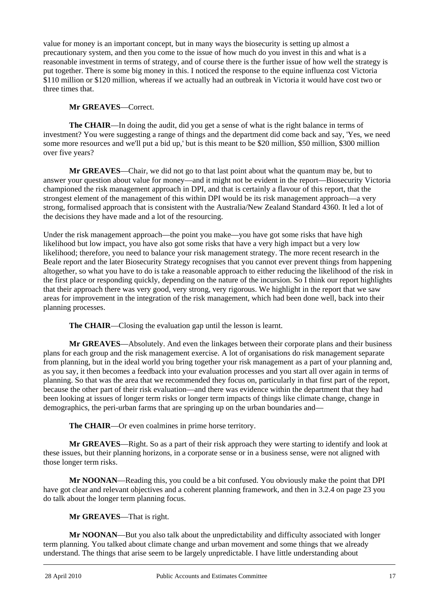value for money is an important concept, but in many ways the biosecurity is setting up almost a precautionary system, and then you come to the issue of how much do you invest in this and what is a reasonable investment in terms of strategy, and of course there is the further issue of how well the strategy is put together. There is some big money in this. I noticed the response to the equine influenza cost Victoria \$110 million or \$120 million, whereas if we actually had an outbreak in Victoria it would have cost two or three times that.

## **Mr GREAVES**—Correct.

**The CHAIR**—In doing the audit, did you get a sense of what is the right balance in terms of investment? You were suggesting a range of things and the department did come back and say, 'Yes, we need some more resources and we'll put a bid up,' but is this meant to be \$20 million, \$50 million, \$300 million over five years?

**Mr GREAVES**—Chair, we did not go to that last point about what the quantum may be, but to answer your question about value for money—and it might not be evident in the report—Biosecurity Victoria championed the risk management approach in DPI, and that is certainly a flavour of this report, that the strongest element of the management of this within DPI would be its risk management approach—a very strong, formalised approach that is consistent with the Australia/New Zealand Standard 4360. It led a lot of the decisions they have made and a lot of the resourcing.

Under the risk management approach—the point you make—you have got some risks that have high likelihood but low impact, you have also got some risks that have a very high impact but a very low likelihood; therefore, you need to balance your risk management strategy. The more recent research in the Beale report and the later Biosecurity Strategy recognises that you cannot ever prevent things from happening altogether, so what you have to do is take a reasonable approach to either reducing the likelihood of the risk in the first place or responding quickly, depending on the nature of the incursion. So I think our report highlights that their approach there was very good, very strong, very rigorous. We highlight in the report that we saw areas for improvement in the integration of the risk management, which had been done well, back into their planning processes.

**The CHAIR**—Closing the evaluation gap until the lesson is learnt.

**Mr GREAVES**—Absolutely. And even the linkages between their corporate plans and their business plans for each group and the risk management exercise. A lot of organisations do risk management separate from planning, but in the ideal world you bring together your risk management as a part of your planning and, as you say, it then becomes a feedback into your evaluation processes and you start all over again in terms of planning. So that was the area that we recommended they focus on, particularly in that first part of the report, because the other part of their risk evaluation—and there was evidence within the department that they had been looking at issues of longer term risks or longer term impacts of things like climate change, change in demographics, the peri-urban farms that are springing up on the urban boundaries and—

**The CHAIR**—Or even coalmines in prime horse territory.

**Mr GREAVES**—Right. So as a part of their risk approach they were starting to identify and look at these issues, but their planning horizons, in a corporate sense or in a business sense, were not aligned with those longer term risks.

**Mr NOONAN**—Reading this, you could be a bit confused. You obviously make the point that DPI have got clear and relevant objectives and a coherent planning framework, and then in 3.2.4 on page 23 you do talk about the longer term planning focus.

## **Mr GREAVES**—That is right.

l **Mr NOONAN**—But you also talk about the unpredictability and difficulty associated with longer term planning. You talked about climate change and urban movement and some things that we already understand. The things that arise seem to be largely unpredictable. I have little understanding about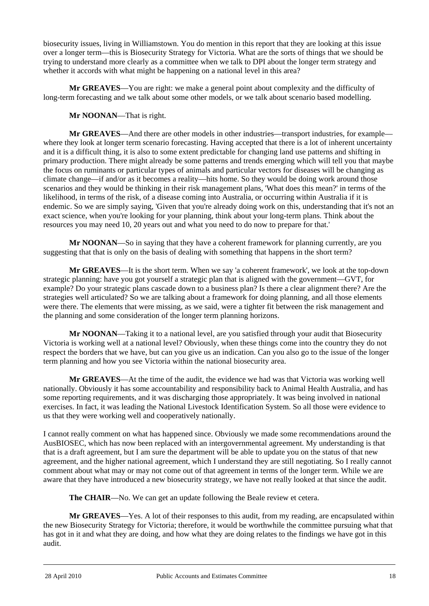biosecurity issues, living in Williamstown. You do mention in this report that they are looking at this issue over a longer term—this is Biosecurity Strategy for Victoria. What are the sorts of things that we should be trying to understand more clearly as a committee when we talk to DPI about the longer term strategy and whether it accords with what might be happening on a national level in this area?

**Mr GREAVES**—You are right: we make a general point about complexity and the difficulty of long-term forecasting and we talk about some other models, or we talk about scenario based modelling.

**Mr NOONAN**—That is right.

**Mr GREAVES**—And there are other models in other industries—transport industries, for example where they look at longer term scenario forecasting. Having accepted that there is a lot of inherent uncertainty and it is a difficult thing, it is also to some extent predictable for changing land use patterns and shifting in primary production. There might already be some patterns and trends emerging which will tell you that maybe the focus on ruminants or particular types of animals and particular vectors for diseases will be changing as climate change—if and/or as it becomes a reality—hits home. So they would be doing work around those scenarios and they would be thinking in their risk management plans, 'What does this mean?' in terms of the likelihood, in terms of the risk, of a disease coming into Australia, or occurring within Australia if it is endemic. So we are simply saying, 'Given that you're already doing work on this, understanding that it's not an exact science, when you're looking for your planning, think about your long-term plans. Think about the resources you may need 10, 20 years out and what you need to do now to prepare for that.'

**Mr NOONAN**—So in saying that they have a coherent framework for planning currently, are you suggesting that that is only on the basis of dealing with something that happens in the short term?

**Mr GREAVES**—It is the short term. When we say 'a coherent framework', we look at the top-down strategic planning: have you got yourself a strategic plan that is aligned with the government—GVT, for example? Do your strategic plans cascade down to a business plan? Is there a clear alignment there? Are the strategies well articulated? So we are talking about a framework for doing planning, and all those elements were there. The elements that were missing, as we said, were a tighter fit between the risk management and the planning and some consideration of the longer term planning horizons.

**Mr NOONAN**—Taking it to a national level, are you satisfied through your audit that Biosecurity Victoria is working well at a national level? Obviously, when these things come into the country they do not respect the borders that we have, but can you give us an indication. Can you also go to the issue of the longer term planning and how you see Victoria within the national biosecurity area.

**Mr GREAVES**—At the time of the audit, the evidence we had was that Victoria was working well nationally. Obviously it has some accountability and responsibility back to Animal Health Australia, and has some reporting requirements, and it was discharging those appropriately. It was being involved in national exercises. In fact, it was leading the National Livestock Identification System. So all those were evidence to us that they were working well and cooperatively nationally.

I cannot really comment on what has happened since. Obviously we made some recommendations around the AusBIOSEC, which has now been replaced with an intergovernmental agreement. My understanding is that that is a draft agreement, but I am sure the department will be able to update you on the status of that new agreement, and the higher national agreement, which I understand they are still negotiating. So I really cannot comment about what may or may not come out of that agreement in terms of the longer term. While we are aware that they have introduced a new biosecurity strategy, we have not really looked at that since the audit.

**The CHAIR—No.** We can get an update following the Beale review et cetera.

**Mr GREAVES**—Yes. A lot of their responses to this audit, from my reading, are encapsulated within the new Biosecurity Strategy for Victoria; therefore, it would be worthwhile the committee pursuing what that has got in it and what they are doing, and how what they are doing relates to the findings we have got in this audit.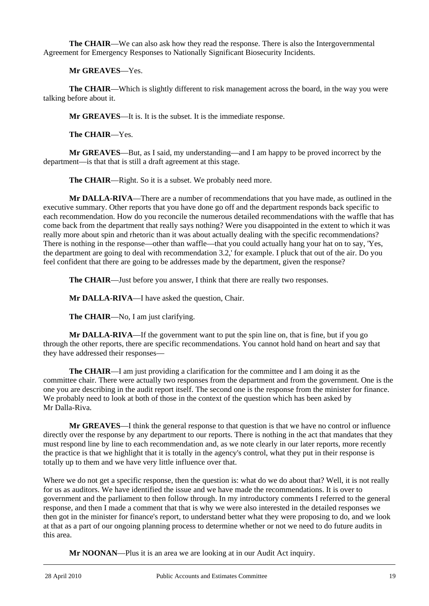**The CHAIR**—We can also ask how they read the response. There is also the Intergovernmental Agreement for Emergency Responses to Nationally Significant Biosecurity Incidents.

**Mr GREAVES**—Yes.

**The CHAIR**—Which is slightly different to risk management across the board, in the way you were talking before about it.

**Mr GREAVES**—It is. It is the subset. It is the immediate response.

**The CHAIR**—Yes.

**Mr GREAVES**—But, as I said, my understanding—and I am happy to be proved incorrect by the department—is that that is still a draft agreement at this stage.

**The CHAIR—Right.** So it is a subset. We probably need more.

**Mr DALLA-RIVA**—There are a number of recommendations that you have made, as outlined in the executive summary. Other reports that you have done go off and the department responds back specific to each recommendation. How do you reconcile the numerous detailed recommendations with the waffle that has come back from the department that really says nothing? Were you disappointed in the extent to which it was really more about spin and rhetoric than it was about actually dealing with the specific recommendations? There is nothing in the response—other than waffle—that you could actually hang your hat on to say, 'Yes, the department are going to deal with recommendation 3.2,' for example. I pluck that out of the air. Do you feel confident that there are going to be addresses made by the department, given the response?

**The CHAIR**—Just before you answer, I think that there are really two responses.

**Mr DALLA-RIVA**—I have asked the question, Chair.

**The CHAIR**—No, I am just clarifying.

**Mr DALLA-RIVA**—If the government want to put the spin line on, that is fine, but if you go through the other reports, there are specific recommendations. You cannot hold hand on heart and say that they have addressed their responses—

**The CHAIR**—I am just providing a clarification for the committee and I am doing it as the committee chair. There were actually two responses from the department and from the government. One is the one you are describing in the audit report itself. The second one is the response from the minister for finance. We probably need to look at both of those in the context of the question which has been asked by Mr Dalla-Riva.

**Mr GREAVES**—I think the general response to that question is that we have no control or influence directly over the response by any department to our reports. There is nothing in the act that mandates that they must respond line by line to each recommendation and, as we note clearly in our later reports, more recently the practice is that we highlight that it is totally in the agency's control, what they put in their response is totally up to them and we have very little influence over that.

Where we do not get a specific response, then the question is: what do we do about that? Well, it is not really for us as auditors. We have identified the issue and we have made the recommendations. It is over to government and the parliament to then follow through. In my introductory comments I referred to the general response, and then I made a comment that that is why we were also interested in the detailed responses we then got in the minister for finance's report, to understand better what they were proposing to do, and we look at that as a part of our ongoing planning process to determine whether or not we need to do future audits in this area.

**Mr NOONAN**—Plus it is an area we are looking at in our Audit Act inquiry.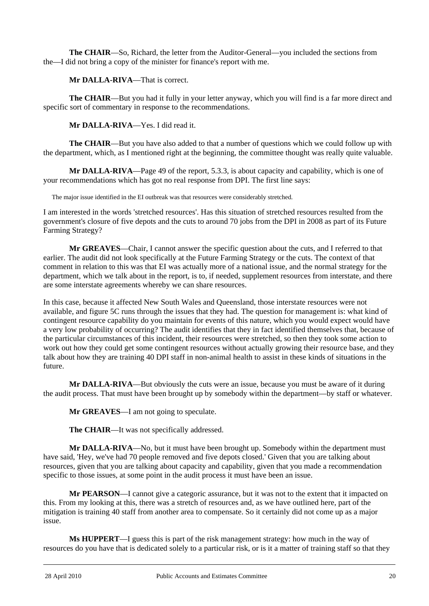**The CHAIR**—So, Richard, the letter from the Auditor-General—you included the sections from the—I did not bring a copy of the minister for finance's report with me.

**Mr DALLA-RIVA**—That is correct.

**The CHAIR**—But you had it fully in your letter anyway, which you will find is a far more direct and specific sort of commentary in response to the recommendations.

**Mr DALLA-RIVA**—Yes. I did read it.

**The CHAIR**—But you have also added to that a number of questions which we could follow up with the department, which, as I mentioned right at the beginning, the committee thought was really quite valuable.

**Mr DALLA-RIVA**—Page 49 of the report, 5.3.3, is about capacity and capability, which is one of your recommendations which has got no real response from DPI. The first line says:

The major issue identified in the EI outbreak was that resources were considerably stretched.

I am interested in the words 'stretched resources'. Has this situation of stretched resources resulted from the government's closure of five depots and the cuts to around 70 jobs from the DPI in 2008 as part of its Future Farming Strategy?

**Mr GREAVES**—Chair, I cannot answer the specific question about the cuts, and I referred to that earlier. The audit did not look specifically at the Future Farming Strategy or the cuts. The context of that comment in relation to this was that EI was actually more of a national issue, and the normal strategy for the department, which we talk about in the report, is to, if needed, supplement resources from interstate, and there are some interstate agreements whereby we can share resources.

In this case, because it affected New South Wales and Queensland, those interstate resources were not available, and figure 5C runs through the issues that they had. The question for management is: what kind of contingent resource capability do you maintain for events of this nature, which you would expect would have a very low probability of occurring? The audit identifies that they in fact identified themselves that, because of the particular circumstances of this incident, their resources were stretched, so then they took some action to work out how they could get some contingent resources without actually growing their resource base, and they talk about how they are training 40 DPI staff in non-animal health to assist in these kinds of situations in the future.

**Mr DALLA-RIVA**—But obviously the cuts were an issue, because you must be aware of it during the audit process. That must have been brought up by somebody within the department—by staff or whatever.

**Mr GREAVES**—I am not going to speculate.

**The CHAIR**—It was not specifically addressed.

**Mr DALLA-RIVA**—No, but it must have been brought up. Somebody within the department must have said, 'Hey, we've had 70 people removed and five depots closed.' Given that you are talking about resources, given that you are talking about capacity and capability, given that you made a recommendation specific to those issues, at some point in the audit process it must have been an issue.

**Mr PEARSON**—I cannot give a categoric assurance, but it was not to the extent that it impacted on this. From my looking at this, there was a stretch of resources and, as we have outlined here, part of the mitigation is training 40 staff from another area to compensate. So it certainly did not come up as a major issue.

**Ms HUPPERT**—I guess this is part of the risk management strategy: how much in the way of resources do you have that is dedicated solely to a particular risk, or is it a matter of training staff so that they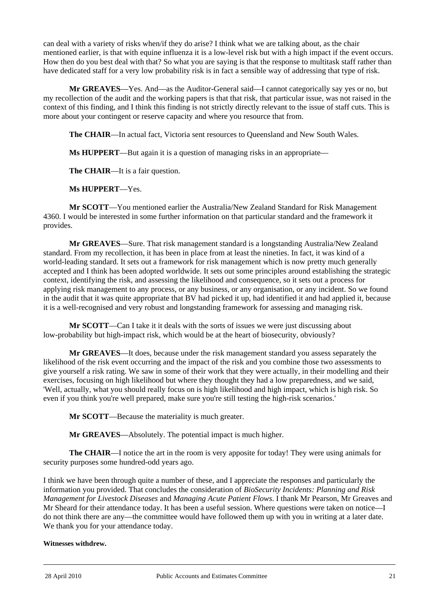can deal with a variety of risks when/if they do arise? I think what we are talking about, as the chair mentioned earlier, is that with equine influenza it is a low-level risk but with a high impact if the event occurs. How then do you best deal with that? So what you are saying is that the response to multitask staff rather than have dedicated staff for a very low probability risk is in fact a sensible way of addressing that type of risk.

**Mr GREAVES**—Yes. And—as the Auditor-General said—I cannot categorically say yes or no, but my recollection of the audit and the working papers is that that risk, that particular issue, was not raised in the context of this finding, and I think this finding is not strictly directly relevant to the issue of staff cuts. This is more about your contingent or reserve capacity and where you resource that from.

**The CHAIR**—In actual fact, Victoria sent resources to Queensland and New South Wales.

**Ms HUPPERT**—But again it is a question of managing risks in an appropriate—

**The CHAIR**—It is a fair question.

**Ms HUPPERT**—Yes.

**Mr SCOTT**—You mentioned earlier the Australia/New Zealand Standard for Risk Management 4360. I would be interested in some further information on that particular standard and the framework it provides.

**Mr GREAVES**—Sure. That risk management standard is a longstanding Australia/New Zealand standard. From my recollection, it has been in place from at least the nineties. In fact, it was kind of a world-leading standard. It sets out a framework for risk management which is now pretty much generally accepted and I think has been adopted worldwide. It sets out some principles around establishing the strategic context, identifying the risk, and assessing the likelihood and consequence, so it sets out a process for applying risk management to any process, or any business, or any organisation, or any incident. So we found in the audit that it was quite appropriate that BV had picked it up, had identified it and had applied it, because it is a well-recognised and very robust and longstanding framework for assessing and managing risk.

**Mr SCOTT**—Can I take it it deals with the sorts of issues we were just discussing about low-probability but high-impact risk, which would be at the heart of biosecurity, obviously?

**Mr GREAVES**—It does, because under the risk management standard you assess separately the likelihood of the risk event occurring and the impact of the risk and you combine those two assessments to give yourself a risk rating. We saw in some of their work that they were actually, in their modelling and their exercises, focusing on high likelihood but where they thought they had a low preparedness, and we said, 'Well, actually, what you should really focus on is high likelihood and high impact, which is high risk. So even if you think you're well prepared, make sure you're still testing the high-risk scenarios.'

**Mr SCOTT**—Because the materiality is much greater.

**Mr GREAVES**—Absolutely. The potential impact is much higher.

**The CHAIR**—I notice the art in the room is very apposite for today! They were using animals for security purposes some hundred-odd years ago.

I think we have been through quite a number of these, and I appreciate the responses and particularly the information you provided. That concludes the consideration of *BioSecurity Incidents: Planning and Risk Management for Livestock Diseases* and *Managing Acute Patient Flows*. I thank Mr Pearson, Mr Greaves and Mr Sheard for their attendance today. It has been a useful session. Where questions were taken on notice—I do not think there are any—the committee would have followed them up with you in writing at a later date. We thank you for your attendance today.

#### **Witnesses withdrew.**